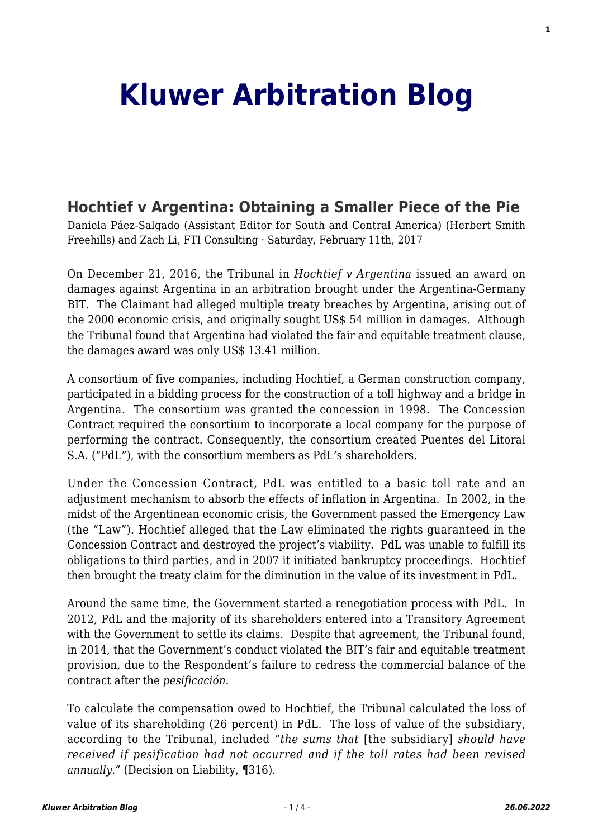## **[Kluwer Arbitration Blog](http://arbitrationblog.kluwerarbitration.com/)**

## **[Hochtief v Argentina: Obtaining a Smaller Piece of the Pie](http://arbitrationblog.kluwerarbitration.com/2017/02/11/hochtief-v-argentina/)**

Daniela Páez-Salgado (Assistant Editor for South and Central America) (Herbert Smith Freehills) and Zach Li, FTI Consulting · Saturday, February 11th, 2017

On December 21, 2016, the Tribunal in *Hochtief v Argentina* issued an award on damages against Argentina in an arbitration brought under the Argentina-Germany BIT. The Claimant had alleged multiple treaty breaches by Argentina, arising out of the 2000 economic crisis, and originally sought US\$ 54 million in damages. Although the Tribunal found that Argentina had violated the fair and equitable treatment clause, the damages award was only US\$ 13.41 million.

A consortium of five companies, including Hochtief, a German construction company, participated in a bidding process for the construction of a toll highway and a bridge in Argentina. The consortium was granted the concession in 1998. The Concession Contract required the consortium to incorporate a local company for the purpose of performing the contract. Consequently, the consortium created Puentes del Litoral S.A. ("PdL"), with the consortium members as PdL's shareholders.

Under the Concession Contract, PdL was entitled to a basic toll rate and an adjustment mechanism to absorb the effects of inflation in Argentina. In 2002, in the midst of the Argentinean economic crisis, the Government passed the Emergency Law (the "Law"). Hochtief alleged that the Law eliminated the rights guaranteed in the Concession Contract and destroyed the project's viability. PdL was unable to fulfill its obligations to third parties, and in 2007 it initiated bankruptcy proceedings. Hochtief then brought the treaty claim for the diminution in the value of its investment in PdL.

Around the same time, the Government started a renegotiation process with PdL. In 2012, PdL and the majority of its shareholders entered into a Transitory Agreement with the Government to settle its claims. Despite that agreement, the Tribunal found, in 2014, that the Government's conduct violated the BIT's fair and equitable treatment provision, due to the Respondent's failure to redress the commercial balance of the contract after the *pesificación.*

To calculate the compensation owed to Hochtief, the Tribunal calculated the loss of value of its shareholding (26 percent) in PdL. The loss of value of the subsidiary, according to the Tribunal, included *"the sums that* [the subsidiary] *should have received if pesification had not occurred and if the toll rates had been revised annually."* (Decision on Liability, **¶**316).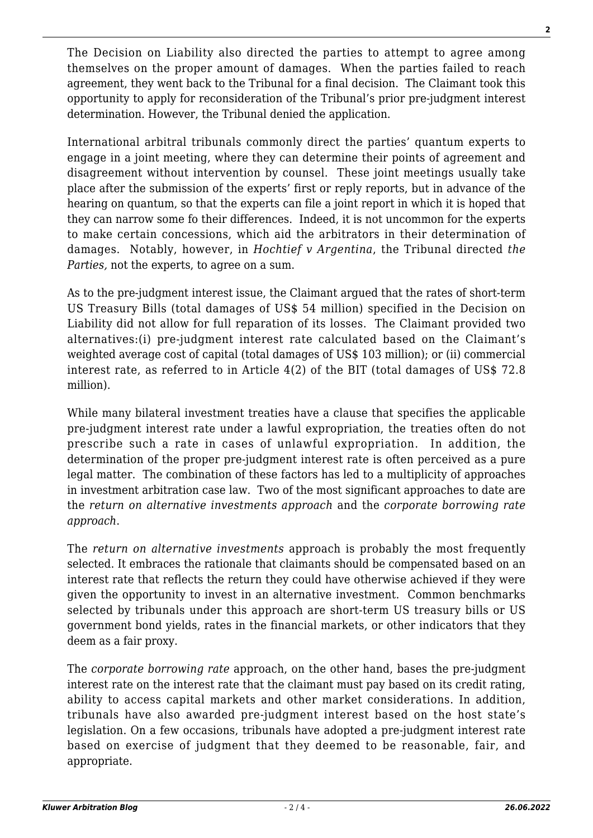The Decision on Liability also directed the parties to attempt to agree among themselves on the proper amount of damages. When the parties failed to reach agreement, they went back to the Tribunal for a final decision. The Claimant took this opportunity to apply for reconsideration of the Tribunal's prior pre-judgment interest determination. However, the Tribunal denied the application.

International arbitral tribunals commonly direct the parties' quantum experts to engage in a joint meeting, where they can determine their points of agreement and disagreement without intervention by counsel. These joint meetings usually take place after the submission of the experts' first or reply reports, but in advance of the hearing on quantum, so that the experts can file a joint report in which it is hoped that they can narrow some fo their differences. Indeed, it is not uncommon for the experts to make certain concessions, which aid the arbitrators in their determination of damages. Notably, however, in *Hochtief v Argentina*, the Tribunal directed *the Parties,* not the experts, to agree on a sum.

As to the pre-judgment interest issue, the Claimant argued that the rates of short-term US Treasury Bills (total damages of US\$ 54 million) specified in the Decision on Liability did not allow for full reparation of its losses. The Claimant provided two alternatives:(i) pre-judgment interest rate calculated based on the Claimant's weighted average cost of capital (total damages of US\$ 103 million); or (ii) commercial interest rate, as referred to in Article 4(2) of the BIT (total damages of US\$ 72.8 million).

While many bilateral investment treaties have a clause that specifies the applicable pre-judgment interest rate under a lawful expropriation, the treaties often do not prescribe such a rate in cases of unlawful expropriation. In addition, the determination of the proper pre-judgment interest rate is often perceived as a pure legal matter. The combination of these factors has led to a multiplicity of approaches in investment arbitration case law. Two of the most significant approaches to date are the *return on alternative investments approach* and the *corporate borrowing rate approach*.

The *return on alternative investments* approach is probably the most frequently selected. It embraces the rationale that claimants should be compensated based on an interest rate that reflects the return they could have otherwise achieved if they were given the opportunity to invest in an alternative investment. Common benchmarks selected by tribunals under this approach are short-term US treasury bills or US government bond yields, rates in the financial markets, or other indicators that they deem as a fair proxy.

The *corporate borrowing rate* approach, on the other hand, bases the pre-judgment interest rate on the interest rate that the claimant must pay based on its credit rating, ability to access capital markets and other market considerations. In addition, tribunals have also awarded pre-judgment interest based on the host state's legislation. On a few occasions, tribunals have adopted a pre-judgment interest rate based on exercise of judgment that they deemed to be reasonable, fair, and appropriate.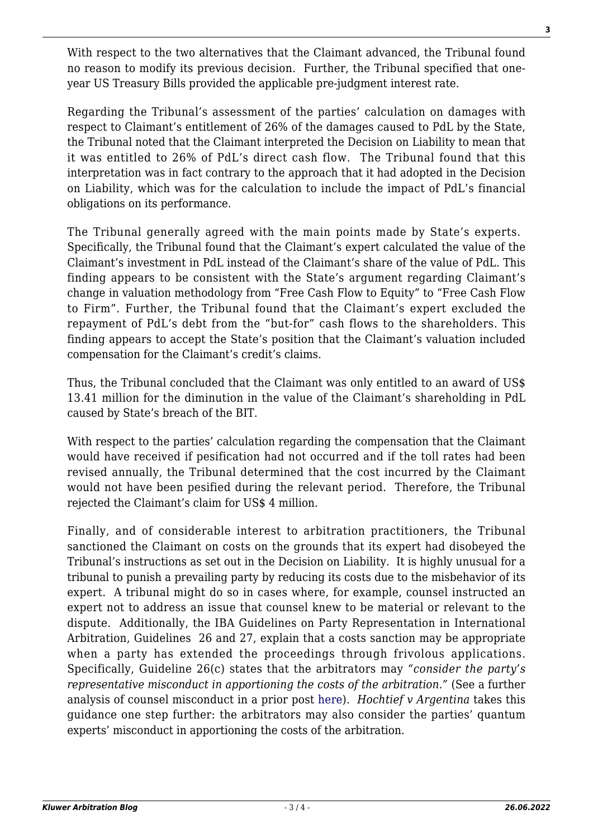With respect to the two alternatives that the Claimant advanced, the Tribunal found no reason to modify its previous decision. Further, the Tribunal specified that oneyear US Treasury Bills provided the applicable pre-judgment interest rate.

Regarding the Tribunal's assessment of the parties' calculation on damages with respect to Claimant's entitlement of 26% of the damages caused to PdL by the State, the Tribunal noted that the Claimant interpreted the Decision on Liability to mean that it was entitled to 26% of PdL's direct cash flow. The Tribunal found that this interpretation was in fact contrary to the approach that it had adopted in the Decision on Liability, which was for the calculation to include the impact of PdL's financial obligations on its performance.

The Tribunal generally agreed with the main points made by State's experts. Specifically, the Tribunal found that the Claimant's expert calculated the value of the Claimant's investment in PdL instead of the Claimant's share of the value of PdL. This finding appears to be consistent with the State's argument regarding Claimant's change in valuation methodology from "Free Cash Flow to Equity" to "Free Cash Flow to Firm". Further, the Tribunal found that the Claimant's expert excluded the repayment of PdL's debt from the "but-for" cash flows to the shareholders. This finding appears to accept the State's position that the Claimant's valuation included compensation for the Claimant's credit's claims.

Thus, the Tribunal concluded that the Claimant was only entitled to an award of US\$ 13.41 million for the diminution in the value of the Claimant's shareholding in PdL caused by State's breach of the BIT.

With respect to the parties' calculation regarding the compensation that the Claimant would have received if pesification had not occurred and if the toll rates had been revised annually, the Tribunal determined that the cost incurred by the Claimant would not have been pesified during the relevant period. Therefore, the Tribunal rejected the Claimant's claim for US\$ 4 million.

Finally, and of considerable interest to arbitration practitioners, the Tribunal sanctioned the Claimant on costs on the grounds that its expert had disobeyed the Tribunal's instructions as set out in the Decision on Liability. It is highly unusual for a tribunal to punish a prevailing party by reducing its costs due to the misbehavior of its expert. A tribunal might do so in cases where, for example, counsel instructed an expert not to address an issue that counsel knew to be material or relevant to the dispute. Additionally, the IBA Guidelines on Party Representation in International Arbitration, Guidelines 26 and 27, explain that a costs sanction may be appropriate when a party has extended the proceedings through frivolous applications. Specifically, Guideline 26(c) states that the arbitrators may *"consider the party's representative misconduct in apportioning the costs of the arbitration."* (See a further analysis of counsel misconduct in a prior post [here\)](http://kluwerarbitrationblog.com/2014/04/16/arbitral-tribunals-decisions-on-costs-sanctioning-the-parties-for-counsel-behavior-a-phenomenon-expected-to-increase/). *Hochtief v Argentina* takes this guidance one step further: the arbitrators may also consider the parties' quantum experts' misconduct in apportioning the costs of the arbitration.